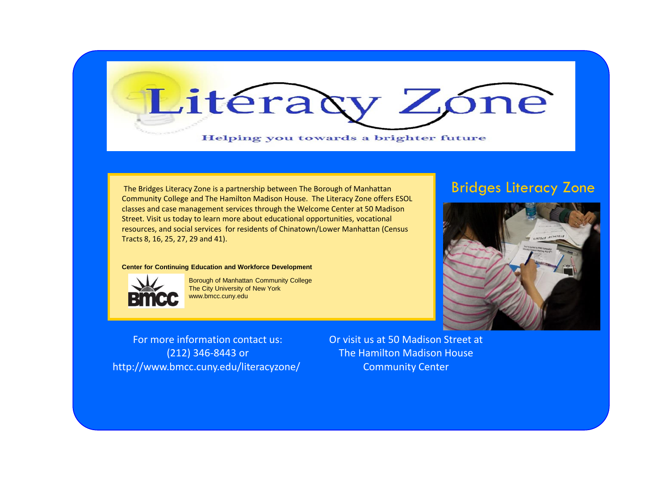

The Bridges Literacy Zone is a partnership between The Borough of Manhattan Community College and The Hamilton Madison House. The Literacy Zone offers ESOL classes and case management services through the Welcome Center at 50 Madison Street. Visit us today to learn more about educational opportunities, vocational resources, and social services for residents of Chinatown/Lower Manhattan (Census Tracts 8, 16, 25, 27, 29 and 41).

#### **Center for Continuing Education and Workforce Development**



 Borough of Manhattan Community College The City University of New York www.bmcc.cuny.edu

For more information contact us: (212) 346-8443 or http://www.bmcc.cuny.edu/literacyzone/ Or visit us at 50 Madison Street at The Hamilton Madison House Community Center

### Bridges Literacy Zone

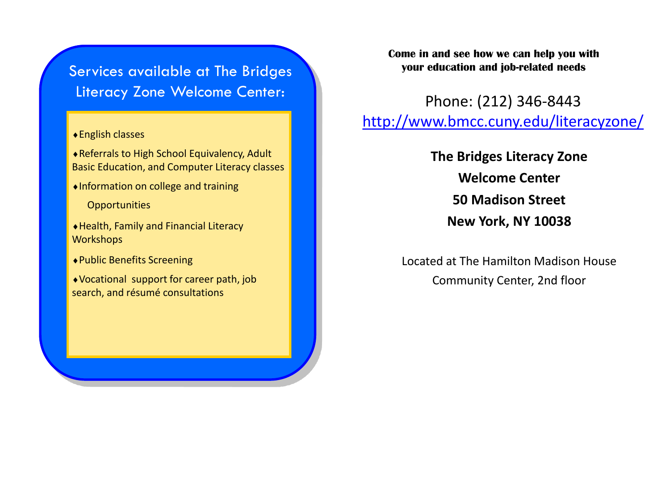## Services available at The Bridges Literacy Zone Welcome Center:

#### English classes

Referrals to High School Equivalency, Adult Basic Education, and Computer Literacy classes

Information on college and training

**Opportunities** 

Health, Family and Financial Literacy **Workshops** 

Public Benefits Screening

Vocational support for career path, job search, and résumé consultations

**Come in and see how we can help you with your education and job-related needs**

Phone: (212) 346-8443 <http://www.bmcc.cuny.edu/literacyzone/>

> **The Bridges Literacy Zone Welcome Center 50 Madison Street New York, NY 10038**

Located at The Hamilton Madison House Community Center, 2nd floor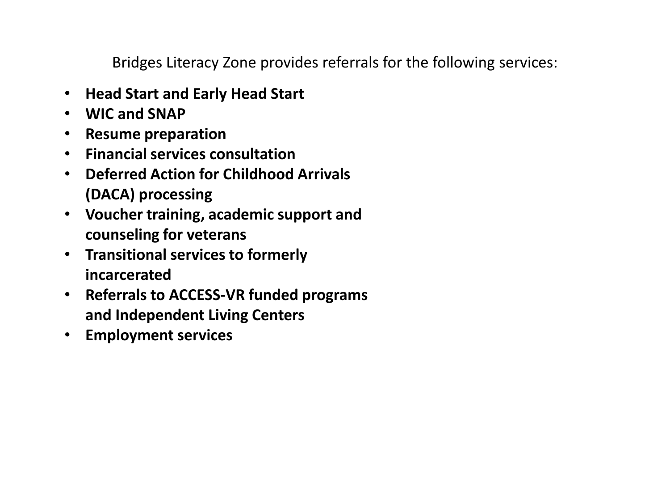Bridges Literacy Zone provides referrals for the following services:

- **Head Start and Early Head Start**
- **WIC and SNAP**
- **Resume preparation**
- **Financial services consultation**
- **Deferred Action for Childhood Arrivals (DACA) processing**
- **Voucher training, academic support and counseling for veterans**
- **Transitional services to formerly incarcerated**
- **Referrals to ACCESS-VR funded programs and Independent Living Centers**
- **Employment services**